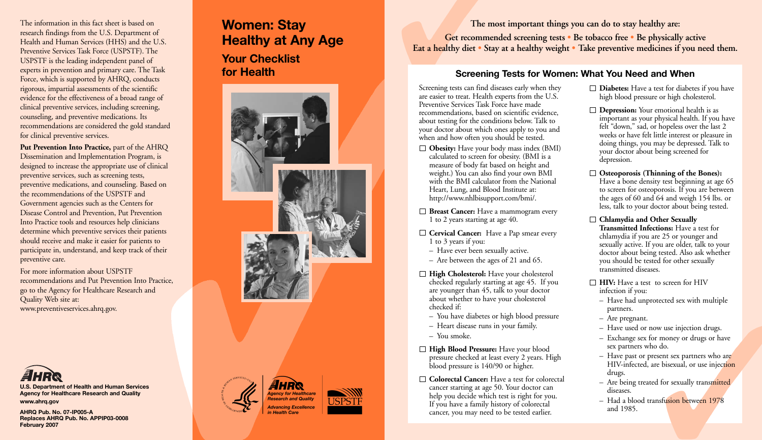The information in this fact sheet is based on research findings from the U.S. Department of Health and Human Services (HHS) and the U.S. Preventive Services Task Force (USPSTF). The USPSTF is the leading independent panel of experts in prevention and primary care. The Task Force, which is supported by AHRQ, conducts rigorous, impartial assessments of the scientific evidence for the effectiveness of a broad range of clinical preventive services, including screening, counseling, and preventive medications. Its recommendations are considered the gold standard for clinical preventive services.

**Put Prevention Into Practice,** part of the AHRQ Dissemination and Implementation Program, is designed to increase the appropriate use of clinical preventive services, such as screening tests, preventive medications, and counseling. Based on the recommendations of the USPSTF and Government agencies such as the Centers for Disease Control and Prevention, Put Prevention Into Practice tools and resources help clinicians determine which preventive services their patients should receive and make it easier for patients to participate in, understand, and keep track of their preventive care.

For more information about USPSTF recommendations and Put Prevention Into Practice, go to the Agency for Healthcare Research and Quality Web site at: www.preventiveservices.ahrq.gov.



**U.S. Department of Health and Human Services Agency for Healthcare Research and Quality www.ahrq.gov**

**AHRQ Pub. No. 07-IP005-A Replaces AHRQ Pub. No. APPIP03-0008 February 2007**

# **Women: Stay Healthy at Any Age**

**Your Checklist for Health**



**The most important things you can do to stay healthy are: Get recommended screening tests • Be tobacco free • Be physically active Eat a healthy diet • Stay at a healthy weight • Take preventive medicines if you need them.**

#### **Screening Tests for Women: What You Need and When**

Screening tests can find diseases early when they are easier to treat. Health experts from the U.S. Preventive Services Task Force have made recommendations, based on scientific evidence, about testing for the conditions below. Talk to your doctor about which ones apply to you and when and how often you should be tested.

- **Obesity:** Have your body mass index (BMI) calculated to screen for obesity. (BMI is a measure of body fat based on height and weight.) You can also find your own BMI with the BMI calculator from the National Heart, Lung, and Blood Institute at: http://www.nhlbisupport.com/bmi/.
- **Breast Cancer:** Have a mammogram every 1 to 2 years starting at age 40.
- □ **Cervical Cancer:** Have a Pap smear every 1 to 3 years if you:
	- Have ever been sexually active.
	- Are between the ages of 21 and 65.
- **High Cholesterol:** Have your cholesterol checked regularly starting at age 45. If you are younger than 45, talk to your doctor about whether to have your cholesterol checked if:
	- You have diabetes or high blood pressure
	- Heart disease runs in your family.
	- You smoke.
- **High Blood Pressure:** Have your blood pressure checked at least every 2 years. High blood pressure is 140/90 or higher.
- **Colorectal Cancer:** Have a test for colorectal cancer starting at age 50. Your doctor can help you decide which test is right for you. If you have a family history of colorectal cancer, you may need to be tested earlier.
- **Diabetes:** Have a test for diabetes if you have high blood pressure or high cholesterol.
- □ **Depression:** Your emotional health is as important as your physical health. If you have felt "down," sad, or hopeless over the last 2 weeks or have felt little interest or pleasure in doing things, you may be depressed. Talk to your doctor about being screened for depression.
- **Osteoporosis (Thinning of the Bones):** Have a bone density test beginning at age 65 to screen for osteoporosis. If you are between the ages of 60 and 64 and weigh 154 lbs. or less, talk to your doctor about being tested.
- **Chlamydia and Other Sexually Transmitted Infections:** Have a test for chlamydia if you are 25 or younger and sexually active. If you are older, talk to your doctor about being tested. Also ask whether you should be tested for other sexually transmitted diseases.
- **HIV:** Have a test to screen for HIV infection if you:
	- Have had unprotected sex with multiple partners.
	- Are pregnant.
	- Have used or now use injection drugs.
	- Exchange sex for money or drugs or have sex partners who do.
	- Have past or present sex partners who are HIV-infected, are bisexual, or use injection drugs.
	- Are being treated for sexually transmitted diseases.
	- Had a blood transfusion between 1978 and 1985.